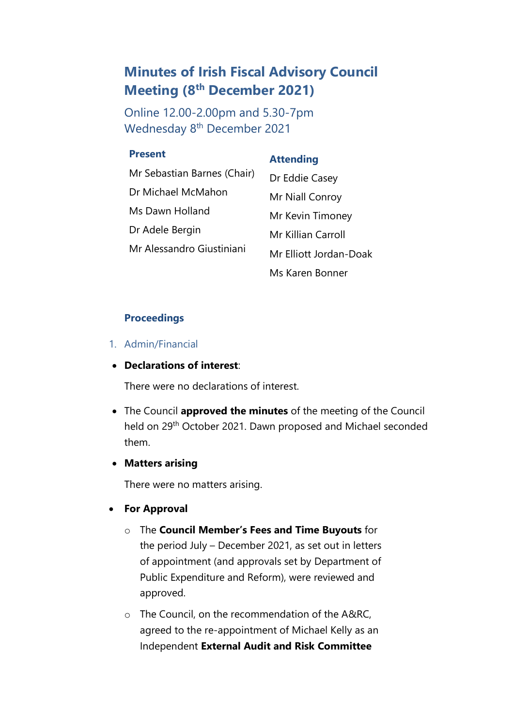# **Minutes of Irish Fiscal Advisory Council Meeting (8 th December 2021)**

Online 12.00-2.00pm and 5.30-7pm Wednesday 8<sup>th</sup> December 2021

#### **Present**

# **Attending**

| Mr Sebastian Barnes (Chair) | Dr Eddie Casey         |
|-----------------------------|------------------------|
| Dr Michael McMahon          | Mr Niall Conroy        |
| Ms Dawn Holland             | Mr Kevin Timoney       |
| Dr Adele Bergin             | Mr Killian Carroll     |
| Mr Alessandro Giustiniani   | Mr Elliott Jordan-Doak |
|                             | Ms Karen Bonner        |

#### **Proceedings**

1. Admin/Financial

# • **Declarations of interest**:

There were no declarations of interest.

• The Council **approved the minutes** of the meeting of the Council held on 29th October 2021. Dawn proposed and Michael seconded them.

#### • **Matters arising**

There were no matters arising.

- **For Approval**
	- o The **Council Member's Fees and Time Buyouts** for the period July – December 2021, as set out in letters of appointment (and approvals set by Department of Public Expenditure and Reform), were reviewed and approved.
	- o The Council, on the recommendation of the A&RC, agreed to the re-appointment of Michael Kelly as an Independent **External Audit and Risk Committee**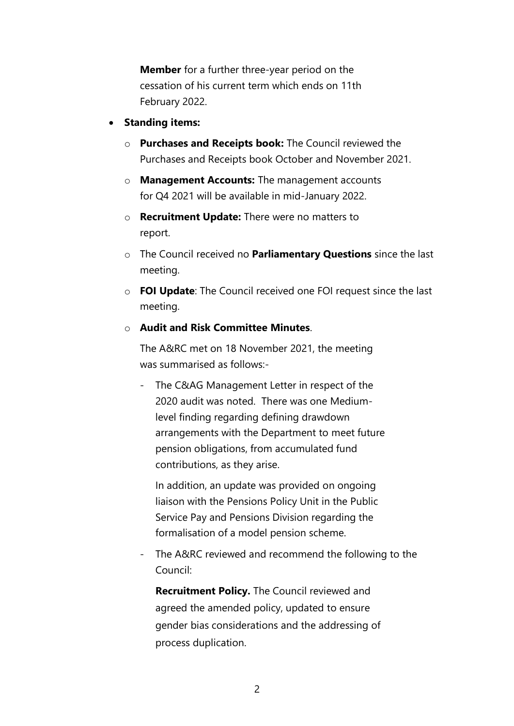**Member** for a further three-year period on the cessation of his current term which ends on 11th February 2022.

- **Standing items:**
	- o **Purchases and Receipts book:** The Council reviewed the Purchases and Receipts book October and November 2021.
	- o **Management Accounts:** The management accounts for Q4 2021 will be available in mid-January 2022.
	- o **Recruitment Update:** There were no matters to report.
	- o The Council received no **Parliamentary Questions** since the last meeting.
	- o **FOI Update**: The Council received one FOI request since the last meeting.
	- o **Audit and Risk Committee Minutes**.

The A&RC met on 18 November 2021, the meeting was summarised as follows:-

The C&AG Management Letter in respect of the 2020 audit was noted. There was one Mediumlevel finding regarding defining drawdown arrangements with the Department to meet future pension obligations, from accumulated fund contributions, as they arise.

In addition, an update was provided on ongoing liaison with the Pensions Policy Unit in the Public Service Pay and Pensions Division regarding the formalisation of a model pension scheme.

The A&RC reviewed and recommend the following to the Council:

**Recruitment Policy.** The Council reviewed and agreed the amended policy, updated to ensure gender bias considerations and the addressing of process duplication.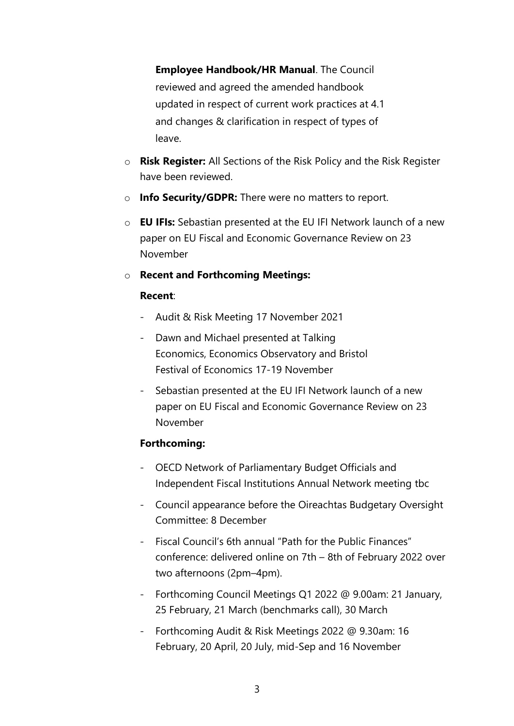**Employee Handbook/HR Manual**. The Council reviewed and agreed the amended handbook updated in respect of current work practices at 4.1 and changes & clarification in respect of types of leave.

- o **Risk Register:** All Sections of the Risk Policy and the Risk Register have been reviewed.
- o **Info Security/GDPR:** There were no matters to report.
- o **EU IFIs:** Sebastian presented at the EU IFI Network launch of a new paper on EU Fiscal and Economic Governance Review on 23 November

# o **Recent and Forthcoming Meetings:**

#### **Recent**:

- Audit & Risk Meeting 17 November 2021
- Dawn and Michael presented at Talking Economics, Economics Observatory and Bristol Festival of Economics 17-19 November
- Sebastian presented at the EU IFI Network launch of a new paper on EU Fiscal and Economic Governance Review on 23 November

# **Forthcoming:**

- OECD Network of Parliamentary Budget Officials and Independent Fiscal Institutions Annual Network meeting tbc
- Council appearance before the Oireachtas Budgetary Oversight Committee: 8 December
- Fiscal Council's 6th annual "Path for the Public Finances" conference: delivered online on 7th – 8th of February 2022 over two afternoons (2pm–4pm).
- Forthcoming Council Meetings Q1 2022 @ 9.00am: 21 January, 25 February, 21 March (benchmarks call), 30 March
- Forthcoming Audit & Risk Meetings 2022 @ 9.30am: 16 February, 20 April, 20 July, mid-Sep and 16 November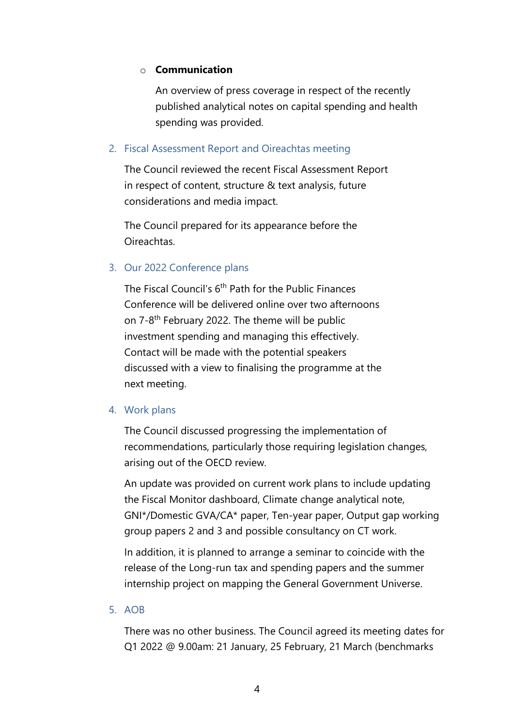# o **Communication**

An overview of press coverage in respect of the recently published analytical notes on capital spending and health spending was provided.

# 2. Fiscal Assessment Report and Oireachtas meeting

The Council reviewed the recent Fiscal Assessment Report in respect of content, structure & text analysis, future considerations and media impact.

The Council prepared for its appearance before the Oireachtas.

# 3. Our 2022 Conference plans

The Fiscal Council's 6<sup>th</sup> Path for the Public Finances Conference will be delivered online over two afternoons on 7-8<sup>th</sup> February 2022. The theme will be public investment spending and managing this effectively. Contact will be made with the potential speakers discussed with a view to finalising the programme at the next meeting.

#### 4. Work plans

The Council discussed progressing the implementation of recommendations, particularly those requiring legislation changes, arising out of the OECD review.

An update was provided on current work plans to include updating the Fiscal Monitor dashboard, Climate change analytical note, GNI\*/Domestic GVA/CA\* paper, Ten-year paper, Output gap working group papers 2 and 3 and possible consultancy on CT work.

In addition, it is planned to arrange a seminar to coincide with the release of the Long-run tax and spending papers and the summer internship project on mapping the General Government Universe.

#### 5. AOB

There was no other business. The Council agreed its meeting dates for Q1 2022 @ 9.00am: 21 January, 25 February, 21 March (benchmarks